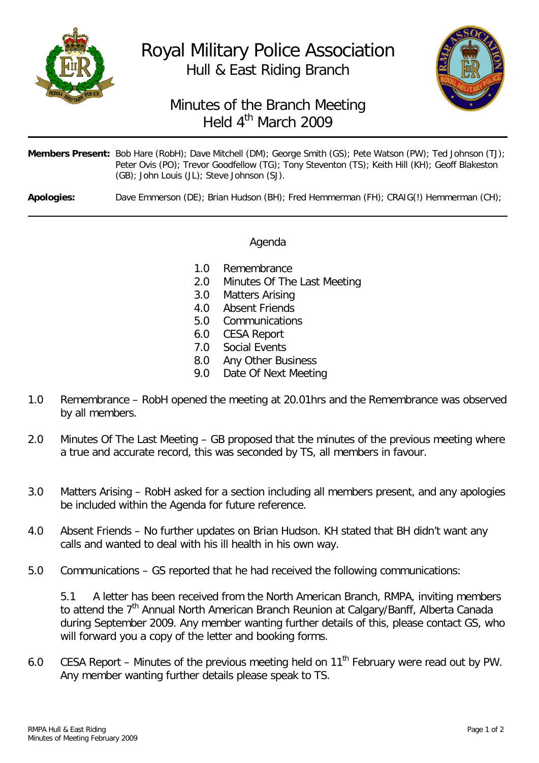

## Royal Military Police Association Hull & East Riding Branch



## Minutes of the Branch Meeting Held 4<sup>th</sup> March 2009

| Members Present: Bob Hare (RobH); Dave Mitchell (DM); George Smith (GS); Pete Watson (PW); Ted Johnson (TJ); |
|--------------------------------------------------------------------------------------------------------------|
| Peter Ovis (PO); Trevor Goodfellow (TG); Tony Steventon (TS); Keith Hill (KH); Geoff Blakeston               |
| (GB); John Louis (JL); Steve Johnson (SJ).                                                                   |

**Apologies:** Dave Emmerson (DE); Brian Hudson (BH); Fred Hemmerman (FH); CRAIG(!) Hemmerman (CH);

## Agenda

- 1.0 Remembrance
- 2.0 Minutes Of The Last Meeting
- 3.0 Matters Arising
- 4.0 Absent Friends
- 5.0 Communications
- 6.0 CESA Report
- 7.0 Social Events
- 8.0 Any Other Business<br>9.0 Date Of Next Meetir
- Date Of Next Meeting
- 1.0 Remembrance RobH opened the meeting at 20.01hrs and the Remembrance was observed by all members.
- 2.0 Minutes Of The Last Meeting GB proposed that the minutes of the previous meeting where a true and accurate record, this was seconded by TS, all members in favour.
- 3.0 Matters Arising RobH asked for a section including all members present, and any apologies be included within the Agenda for future reference.
- 4.0 Absent Friends No further updates on Brian Hudson. KH stated that BH didn't want any calls and wanted to deal with his ill health in his own way.
- 5.0 Communications GS reported that he had received the following communications:

5.1 A letter has been received from the North American Branch, RMPA, inviting members to attend the  $7<sup>th</sup>$  Annual North American Branch Reunion at Calgary/Banff, Alberta Canada during September 2009. Any member wanting further details of this, please contact GS, who will forward you a copy of the letter and booking forms.

6.0 CESA Report – Minutes of the previous meeting held on  $11<sup>th</sup>$  February were read out by PW. Any member wanting further details please speak to TS.